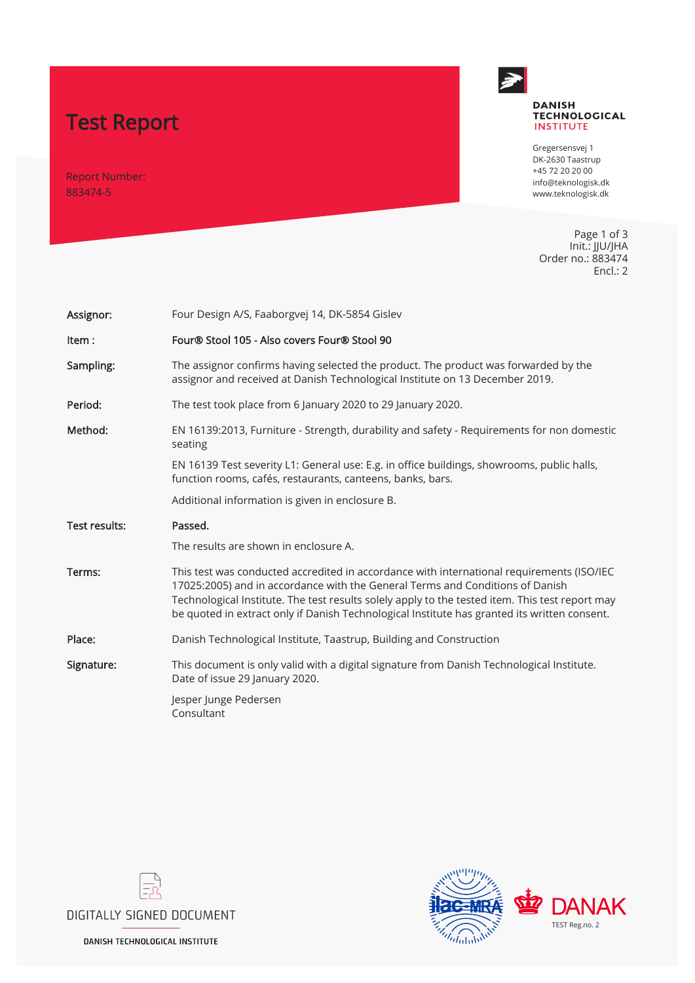# Test Report

Report Number: 883474-5



### **DANISH TECHNOLOGICAL**<br>INSTITUTE

Gregersensvej 1 DK-2630 Taastrup +45 72 20 20 00 info@teknologisk.dk www.teknologisk.dk

Page 1 of 3 Init.: JJU/JHA Order no.: 883474 Encl.: 2

| Assignor:     | Four Design A/S, Faaborgvej 14, DK-5854 Gislev                                                                                                                                                                                                                                                                                                                                |  |  |  |  |  |
|---------------|-------------------------------------------------------------------------------------------------------------------------------------------------------------------------------------------------------------------------------------------------------------------------------------------------------------------------------------------------------------------------------|--|--|--|--|--|
| Item:         | Four® Stool 105 - Also covers Four® Stool 90                                                                                                                                                                                                                                                                                                                                  |  |  |  |  |  |
| Sampling:     | The assignor confirms having selected the product. The product was forwarded by the<br>assignor and received at Danish Technological Institute on 13 December 2019.                                                                                                                                                                                                           |  |  |  |  |  |
| Period:       | The test took place from 6 January 2020 to 29 January 2020.                                                                                                                                                                                                                                                                                                                   |  |  |  |  |  |
| Method:       | EN 16139:2013, Furniture - Strength, durability and safety - Requirements for non domestic<br>seating                                                                                                                                                                                                                                                                         |  |  |  |  |  |
|               | EN 16139 Test severity L1: General use: E.g. in office buildings, showrooms, public halls,<br>function rooms, cafés, restaurants, canteens, banks, bars.                                                                                                                                                                                                                      |  |  |  |  |  |
|               | Additional information is given in enclosure B.                                                                                                                                                                                                                                                                                                                               |  |  |  |  |  |
|               |                                                                                                                                                                                                                                                                                                                                                                               |  |  |  |  |  |
| Test results: | Passed.                                                                                                                                                                                                                                                                                                                                                                       |  |  |  |  |  |
|               | The results are shown in enclosure A.                                                                                                                                                                                                                                                                                                                                         |  |  |  |  |  |
| Terms:        | This test was conducted accredited in accordance with international requirements (ISO/IEC<br>17025:2005) and in accordance with the General Terms and Conditions of Danish<br>Technological Institute. The test results solely apply to the tested item. This test report may<br>be quoted in extract only if Danish Technological Institute has granted its written consent. |  |  |  |  |  |
| Place:        | Danish Technological Institute, Taastrup, Building and Construction                                                                                                                                                                                                                                                                                                           |  |  |  |  |  |
| Signature:    | This document is only valid with a digital signature from Danish Technological Institute.<br>Date of issue 29 January 2020.                                                                                                                                                                                                                                                   |  |  |  |  |  |





**DANISH TECHNOLOGICAL INSTITUTE**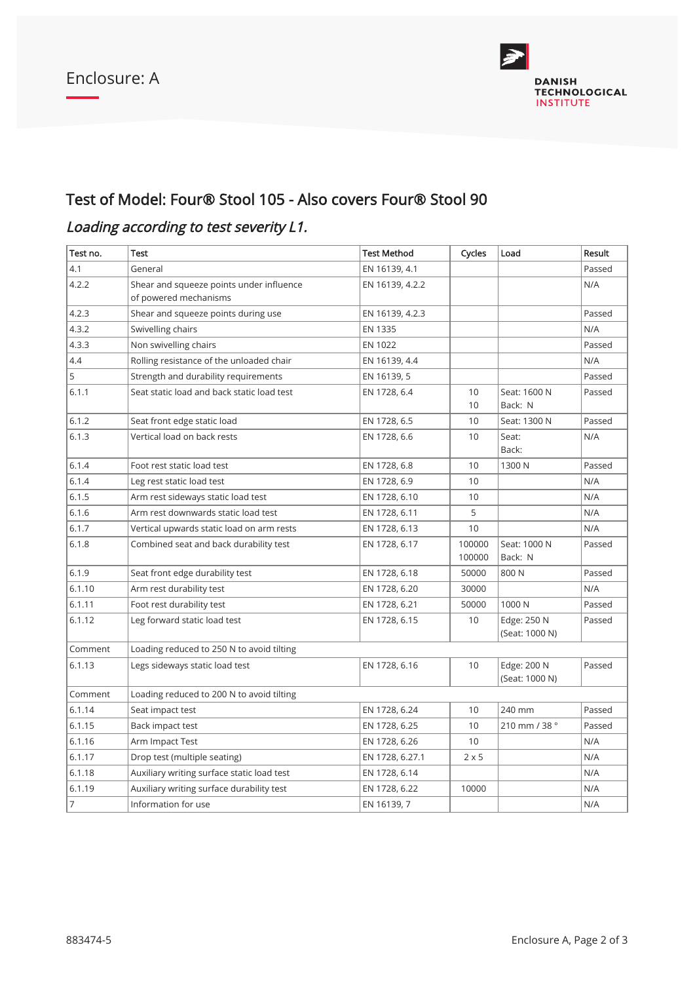

### Test of Model: Four® Stool 105 - Also covers Four® Stool 90

## Loading according to test severity L1.

| Test no. | <b>Test</b>                                                       | <b>Test Method</b> | Cycles           | Load                          | Result |  |  |  |
|----------|-------------------------------------------------------------------|--------------------|------------------|-------------------------------|--------|--|--|--|
| 4.1      | General                                                           | EN 16139, 4.1      |                  |                               | Passed |  |  |  |
| 4.2.2    | Shear and squeeze points under influence<br>of powered mechanisms | EN 16139, 4.2.2    |                  |                               | N/A    |  |  |  |
| 4.2.3    | Shear and squeeze points during use                               | EN 16139, 4.2.3    |                  |                               | Passed |  |  |  |
| 4.3.2    | Swivelling chairs                                                 | EN 1335            |                  |                               | N/A    |  |  |  |
| 4.3.3    | Non swivelling chairs<br>EN 1022                                  |                    |                  | Passed                        |        |  |  |  |
| 4.4      | Rolling resistance of the unloaded chair                          | EN 16139, 4.4      |                  |                               | N/A    |  |  |  |
| 5        | Strength and durability requirements                              | EN 16139, 5        |                  |                               | Passed |  |  |  |
| 6.1.1    | Seat static load and back static load test                        | EN 1728, 6.4       | 10<br>10         | Seat: 1600 N<br>Back: N       | Passed |  |  |  |
| 6.1.2    | Seat front edge static load                                       | EN 1728, 6.5       | 10               | Seat: 1300 N                  | Passed |  |  |  |
| 6.1.3    | Vertical load on back rests                                       | EN 1728, 6.6       | 10               | Seat:<br>Back:                | N/A    |  |  |  |
| 6.1.4    | Foot rest static load test                                        | EN 1728, 6.8       | 10               | 1300 N                        | Passed |  |  |  |
| 6.1.4    | Leg rest static load test                                         | EN 1728, 6.9       | 10               |                               | N/A    |  |  |  |
| 6.1.5    | Arm rest sideways static load test                                | EN 1728, 6.10      | 10               |                               | N/A    |  |  |  |
| 6.1.6    | Arm rest downwards static load test                               | EN 1728, 6.11      | 5                |                               | N/A    |  |  |  |
| 6.1.7    | Vertical upwards static load on arm rests                         | EN 1728, 6.13      | 10               |                               | N/A    |  |  |  |
| 6.1.8    | Combined seat and back durability test                            | EN 1728, 6.17      | 100000<br>100000 | Seat: 1000 N<br>Back: N       | Passed |  |  |  |
| 6.1.9    | Seat front edge durability test                                   | EN 1728, 6.18      | 50000            | 800N                          | Passed |  |  |  |
| 6.1.10   | Arm rest durability test                                          | EN 1728, 6.20      | 30000            |                               | N/A    |  |  |  |
| 6.1.11   | Foot rest durability test                                         | EN 1728, 6.21      | 50000            | 1000N                         | Passed |  |  |  |
| 6.1.12   | Leg forward static load test                                      | EN 1728, 6.15      | 10               | Edge: 250 N<br>(Seat: 1000 N) | Passed |  |  |  |
| Comment  | Loading reduced to 250 N to avoid tilting                         |                    |                  |                               |        |  |  |  |
| 6.1.13   | Legs sideways static load test                                    | EN 1728, 6.16      | 10               | Edge: 200 N<br>(Seat: 1000 N) | Passed |  |  |  |
| Comment  | Loading reduced to 200 N to avoid tilting                         |                    |                  |                               |        |  |  |  |
| 6.1.14   | Seat impact test                                                  | EN 1728, 6.24      | 10               | 240 mm                        | Passed |  |  |  |
| 6.1.15   | Back impact test                                                  | EN 1728, 6.25      | 10               | 210 mm / 38 °                 | Passed |  |  |  |
| 6.1.16   | Arm Impact Test                                                   | EN 1728, 6.26      | 10               |                               | N/A    |  |  |  |
| 6.1.17   | Drop test (multiple seating)                                      | EN 1728, 6.27.1    | $2 \times 5$     |                               | N/A    |  |  |  |
| 6.1.18   | Auxiliary writing surface static load test                        | EN 1728, 6.14      |                  |                               | N/A    |  |  |  |
| 6.1.19   | Auxiliary writing surface durability test                         | EN 1728, 6.22      | 10000            |                               | N/A    |  |  |  |
| 7        | Information for use                                               | EN 16139, 7        |                  |                               | N/A    |  |  |  |